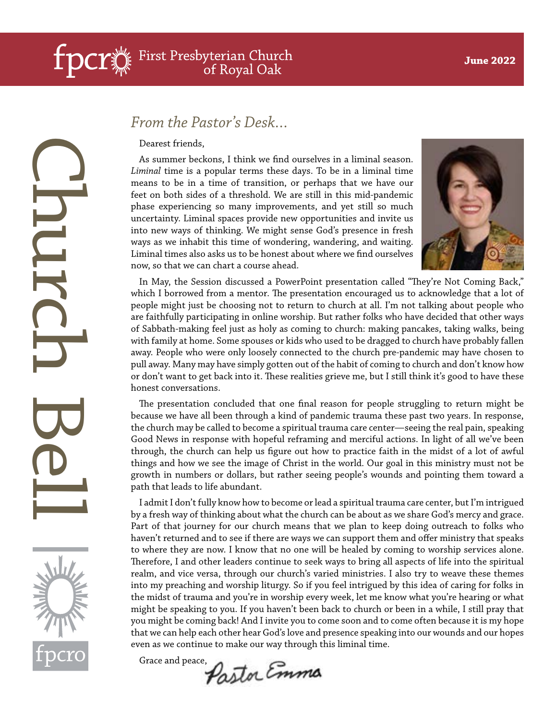# Church Bell

#### *From the Pastor's Desk…*

Dearest friends,

As summer beckons, I think we find ourselves in a liminal season. *Liminal* time is a popular terms these days. To be in a liminal time means to be in a time of transition, or perhaps that we have our feet on both sides of a threshold. We are still in this mid-pandemic phase experiencing so many improvements, and yet still so much uncertainty. Liminal spaces provide new opportunities and invite us into new ways of thinking. We might sense God's presence in fresh ways as we inhabit this time of wondering, wandering, and waiting. Liminal times also asks us to be honest about where we find ourselves now, so that we can chart a course ahead.



In May, the Session discussed a PowerPoint presentation called "They're Not Coming Back," which I borrowed from a mentor. The presentation encouraged us to acknowledge that a lot of people might just be choosing not to return to church at all. I'm not talking about people who are faithfully participating in online worship. But rather folks who have decided that other ways of Sabbath-making feel just as holy as coming to church: making pancakes, taking walks, being with family at home. Some spouses or kids who used to be dragged to church have probably fallen away. People who were only loosely connected to the church pre-pandemic may have chosen to pull away. Many may have simply gotten out of the habit of coming to church and don't know how or don't want to get back into it. These realities grieve me, but I still think it's good to have these honest conversations.

The presentation concluded that one final reason for people struggling to return might be because we have all been through a kind of pandemic trauma these past two years. In response, the church may be called to become a spiritual trauma care center—seeing the real pain, speaking Good News in response with hopeful reframing and merciful actions. In light of all we've been through, the church can help us figure out how to practice faith in the midst of a lot of awful things and how we see the image of Christ in the world. Our goal in this ministry must not be growth in numbers or dollars, but rather seeing people's wounds and pointing them toward a path that leads to life abundant.

I admit I don't fully know how to become or lead a spiritual trauma care center, but I'm intrigued by a fresh way of thinking about what the church can be about as we share God's mercy and grace. Part of that journey for our church means that we plan to keep doing outreach to folks who haven't returned and to see if there are ways we can support them and offer ministry that speaks to where they are now. I know that no one will be healed by coming to worship services alone. Therefore, I and other leaders continue to seek ways to bring all aspects of life into the spiritual realm, and vice versa, through our church's varied ministries. I also try to weave these themes into my preaching and worship liturgy. So if you feel intrigued by this idea of caring for folks in the midst of trauma and you're in worship every week, let me know what you're hearing or what might be speaking to you. If you haven't been back to church or been in a while, I still pray that you might be coming back! And I invite you to come soon and to come often because it is my hope that we can help each other hear God's love and presence speaking into our wounds and our hopes even as we continue to make our way through this liminal time.

Grace and peace, Postor Emma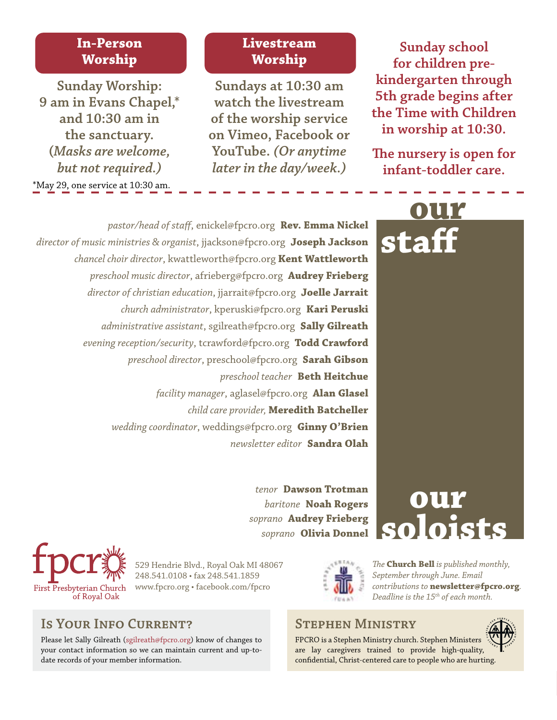#### **In-Person Worship**

\*May 29, one service at 10:30 am. **Sunday Worship: 9 am in Evans Chapel,\* and 10:30 am in the sanctuary. (***Masks are welcome, but not required.)*

#### **Livestream Worship**

**Sundays at 10:30 am watch the livestream of the worship service on Vimeo, Facebook or YouTube.** *(Or anytime later in the day/week.)* 

**Sunday school for children prekindergarten through 5th grade begins after the Time with Children in worship at 10:30.**

**The nursery is open for infant-toddler care.**

**our**

**staff**

*pastor/head of staff*, enickel@fpcro.org **Rev. Emma Nickel** *director of music ministries & organist*, jjackson@fpcro.org **Joseph Jackson** *chancel choir director*, kwattleworth@fpcro.org **Kent Wattleworth** *preschool music director*, afrieberg@fpcro.org **Audrey Frieberg** *director of christian education*, jjarrait@fpcro.org **Joelle Jarrait** *church administrator*, kperuski@fpcro.org **Kari Peruski** *administrative assistant*, sgilreath@fpcro.org **Sally Gilreath** *evening reception/security*, tcrawford@fpcro.org **Todd Crawford**  *preschool director*, preschool@fpcro.org **Sarah Gibson** *preschool teacher* **Beth Heitchue** *facility manager*, aglasel@fpcro.org **Alan Glasel** *child care provider,* **Meredith Batcheller** *wedding coordinator*, weddings@fpcro.org **Ginny O'Brien** *newsletter editor* **Sandra Olah**

> *tenor* **Dawson Trotman** *baritone* **Noah Rogers** *soprano* **Audrey Frieberg**

# *soprano* **Olivia Donnel SOIOISTS our**



529 Hendrie Blvd., Royal Oak MI 48067 248.541.0108 • fax 248.541.1859 www.fpcro.org • facebook.com/fpcro

#### **Is Your Info Current?**

Please let Sally Gilreath (sgilreath@fpcro.org) know of changes to your contact information so we can maintain current and up-todate records of your member information.

*The* **Church Bell** *is published monthly, September through June. Email contributions to* **newsletter@fpcro.org***. Deadline is the 15th of each month.*

#### **Stephen Ministry**

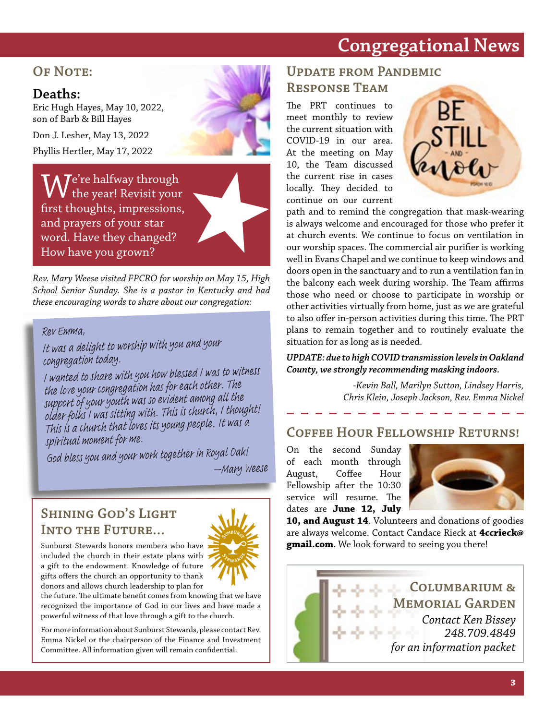# **Congregational News**

#### **OF NOTE:**

#### **Deaths:**

Eric Hugh Hayes, May 10, 2022, son of Barb & Bill Hayes

Don J. Lesher, May 13, 2022 Phyllis Hertler, May 17, 2022

 $\mathcal{W}$ e're halfway through the year! Revisit your first thoughts, impressions, and prayers of your star word. Have they changed? How have you grown?



*Rev. Mary Weese visited FPCRO for worship on May 15, High School Senior Sunday. She is a pastor in Kentucky and had these encouraging words to share about our congregation:*

#### *Rev Emma,*

*It was a delight to worship with you and your congregation today.*

*I wanted to share with you how blessed I was to witness the love your congregation has for each other. The support of your youth was so evident among all the older folks I was sitting with. This is church, I thought! This is a church that loves its young people. It was a spiritual moment for me.*

*God bless you and your work together in Royal Oak! –Mary Weese*

#### **Shining God's Light Into the Future…**



Sunburst Stewards honors members who have included the church in their estate plans with a gift to the endowment. Knowledge of future gifts offers the church an opportunity to thank donors and allows church leadership to plan for

the future. The ultimate benefit comes from knowing that we have recognized the importance of God in our lives and have made a powerful witness of that love through a gift to the church.

For more information about Sunburst Stewards, please contact Rev. Emma Nickel or the chairperson of the Finance and Investment Committee. All information given will remain confidential.

#### **Update from Pandemic Response Team**

The PRT continues to meet monthly to review the current situation with COVID-19 in our area. At the meeting on May 10, the Team discussed the current rise in cases locally. They decided to continue on our current



path and to remind the congregation that mask-wearing is always welcome and encouraged for those who prefer it at church events. We continue to focus on ventilation in our worship spaces. The commercial air purifier is working well in Evans Chapel and we continue to keep windows and doors open in the sanctuary and to run a ventilation fan in the balcony each week during worship. The Team affirms those who need or choose to participate in worship or other activities virtually from home, just as we are grateful to also offer in-person activities during this time. The PRT plans to remain together and to routinely evaluate the situation for as long as is needed.

#### *UPDATE: due to high COVID transmission levels in Oakland County, we strongly recommending masking indoors.*

*-Kevin Ball, Marilyn Sutton, Lindsey Harris, Chris Klein, Joseph Jackson, Rev. Emma Nickel*

#### **Coffee Hour Fellowship Returns!**

On the second Sunday of each month through August, Coffee Hour Fellowship after the 10:30 service will resume. The dates are **June 12, July** 



**10, and August 14**. Volunteers and donations of goodies are always welcome. Contact Candace Rieck at **4ccrieck@ gmail.com**. We look forward to seeing you there!

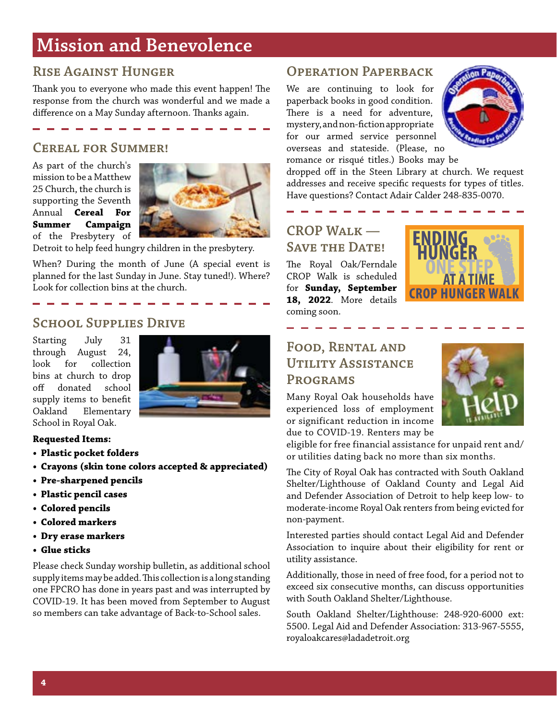# **Mission and Benevolence**

#### **Rise Against Hunger**

Thank you to everyone who made this event happen! The response from the church was wonderful and we made a difference on a May Sunday afternoon. Thanks again.

#### **Cereal for Summer!**

As part of the church's mission to be a Matthew 25 Church, the church is supporting the Seventh Annual **Cereal For Summer Campaign** of the Presbytery of



Detroit to help feed hungry children in the presbytery.

When? During the month of June (A special event is planned for the last Sunday in June. Stay tuned!). Where? Look for collection bins at the church.

#### **School Supplies Drive**

Starting July 31 through August 24, look for collection bins at church to drop off donated school supply items to benefit Oakland Elementary School in Royal Oak.



#### **Requested Items:**

- **• Plastic pocket folders**
- **• Crayons (skin tone colors accepted & appreciated)**
- **• Pre-sharpened pencils**
- **• Plastic pencil cases**
- **• Colored pencils**
- **• Colored markers**
- **• Dry erase markers**
- **• Glue sticks**

Please check Sunday worship bulletin, as additional school supply items may be added. This collection is a long standing one FPCRO has done in years past and was interrupted by COVID-19. It has been moved from September to August so members can take advantage of Back-to-School sales.

#### **OPERATION PAPERBACK**

We are continuing to look for paperback books in good condition. There is a need for adventure, mystery, and non-fiction appropriate for our armed service personnel overseas and stateside. (Please, no romance or risqué titles.) Books may be



dropped off in the Steen Library at church. We request addresses and receive specific requests for types of titles. Have questions? Contact Adair Calder 248-835-0070.

#### **CROP Walk — SAVE THE DATE!**

The Royal Oak/Ferndale CROP Walk is scheduled for **Sunday, September 18, 2022**. More details coming soon.



#### **Food, Rental and Utility Assistance Programs**

Many Royal Oak households have experienced loss of employment or significant reduction in income due to COVID-19. Renters may be



eligible for free financial assistance for unpaid rent and/ or utilities dating back no more than six months.

The City of Royal Oak has contracted with South Oakland Shelter/Lighthouse of Oakland County and Legal Aid and Defender Association of Detroit to help keep low- to moderate-income Royal Oak renters from being evicted for non-payment.

Interested parties should contact Legal Aid and Defender Association to inquire about their eligibility for rent or utility assistance.

Additionally, those in need of free food, for a period not to exceed six consecutive months, can discuss opportunities with South Oakland Shelter/Lighthouse.

South Oakland Shelter/Lighthouse: 248-920-6000 ext: 5500. Legal Aid and Defender Association: 313-967-5555, royaloakcares@ladadetroit.org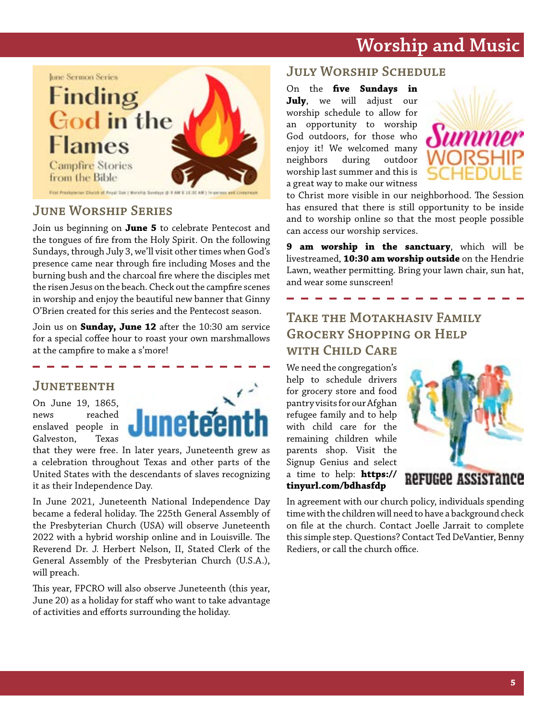# **Worship and Music**



First Presbyterius Church of Arruil Dat I Worship Syndam @ 8

#### **June Worship Series**

Join us beginning on **June 5** to celebrate Pentecost and the tongues of fire from the Holy Spirit. On the following Sundays, through July 3, we'll visit other times when God's presence came near through fire including Moses and the burning bush and the charcoal fire where the disciples met the risen Jesus on the beach. Check out the campfire scenes in worship and enjoy the beautiful new banner that Ginny O'Brien created for this series and the Pentecost season.

Join us on **Sunday, June 12** after the 10:30 am service for a special coffee hour to roast your own marshmallows at the campfire to make a s'more!

#### **Juneteenth**

On June 19, 1865, news reached enslaved people in Galveston, Texas



that they were free. In later years, Juneteenth grew as a celebration throughout Texas and other parts of the United States with the descendants of slaves recognizing it as their Independence Day.

In June 2021, Juneteenth National Independence Day became a federal holiday. The 225th General Assembly of the Presbyterian Church (USA) will observe Juneteenth 2022 with a hybrid worship online and in Louisville. The Reverend Dr. J. Herbert Nelson, II, Stated Clerk of the General Assembly of the Presbyterian Church (U.S.A.), will preach.

This year, FPCRO will also observe Juneteenth (this year, June 20) as a holiday for staff who want to take advantage of activities and efforts surrounding the holiday.

#### **July Worship Schedule**

On the **five Sundays in July**, we will adjust our worship schedule to allow for an opportunity to worship God outdoors, for those who enjoy it! We welcomed many neighbors during outdoor worship last summer and this is a great way to make our witness



to Christ more visible in our neighborhood. The Session has ensured that there is still opportunity to be inside and to worship online so that the most people possible can access our worship services.

**9 am worship in the sanctuary**, which will be livestreamed, **10:30 am worship outside** on the Hendrie Lawn, weather permitting. Bring your lawn chair, sun hat, and wear some sunscreen!

#### **Take the Motakhasiv Family Grocery Shopping or Help with Child Care**

We need the congregation's help to schedule drivers for grocery store and food pantry visits for our Afghan refugee family and to help with child care for the remaining children while parents shop. Visit the Signup Genius and select a time to help: **https:// tinyurl.com/bdhasfdp**



In agreement with our church policy, individuals spending time with the children will need to have a background check on file at the church. Contact Joelle Jarrait to complete this simple step. Questions? Contact Ted DeVantier, Benny Rediers, or call the church office.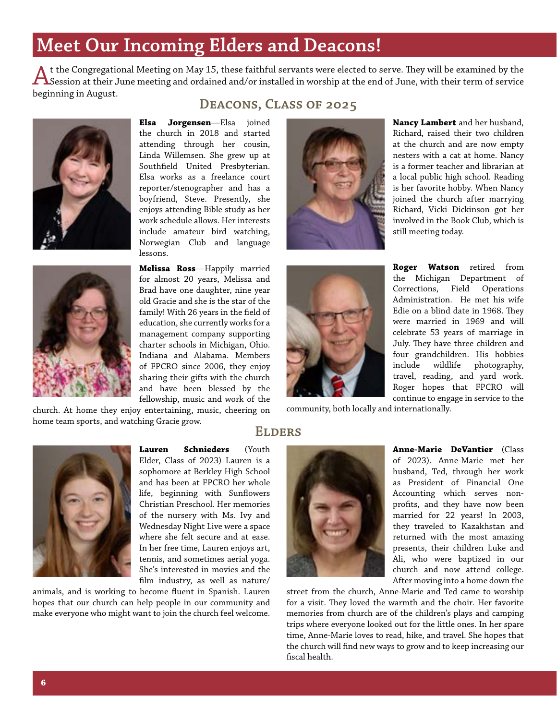# **Meet Our Incoming Elders and Deacons!**

t the Congregational Meeting on May 15, these faithful servants were elected to serve. They will be examined by the<br>Assession at their June meeting and ordained and/or installed in worship at the end of June, with their te beginning in August.

**Deacons, Class of 2025**





**Elsa Jorgensen**—Elsa joined the church in 2018 and started

attending through her cousin, Linda Willemsen. She grew up at Southfield United Presbyterian. Elsa works as a freelance court reporter/stenographer and has a boyfriend, Steve. Presently, she enjoys attending Bible study as her work schedule allows. Her interests include amateur bird watching, Norwegian Club and language lessons.

**Melissa Ross**—Happily married for almost 20 years, Melissa and Brad have one daughter, nine year old Gracie and she is the star of the family! With 26 years in the field of education, she currently works for a management company supporting charter schools in Michigan, Ohio. Indiana and Alabama. Members of FPCRO since 2006, they enjoy sharing their gifts with the church and have been blessed by the fellowship, music and work of the

church. At home they enjoy entertaining, music, cheering on home team sports, and watching Gracie grow.







**Lauren Schnieders** (Youth Elder, Class of 2023) Lauren is a sophomore at Berkley High School and has been at FPCRO her whole life, beginning with Sunflowers Christian Preschool. Her memories of the nursery with Ms. Ivy and Wednesday Night Live were a space where she felt secure and at ease. In her free time, Lauren enjoys art, tennis, and sometimes aerial yoga. She's interested in movies and the

film industry, as well as nature/ animals, and is working to become fluent in Spanish. Lauren hopes that our church can help people in our community and make everyone who might want to join the church feel welcome.

# **Elders**



**Anne-Marie DeVantier** (Class of 2023). Anne-Marie met her husband, Ted, through her work as President of Financial One Accounting which serves nonprofits, and they have now been married for 22 years! In 2003, they traveled to Kazakhstan and returned with the most amazing presents, their children Luke and Ali, who were baptized in our church and now attend college. After moving into a home down the

street from the church, Anne-Marie and Ted came to worship for a visit. They loved the warmth and the choir. Her favorite memories from church are of the children's plays and camping trips where everyone looked out for the little ones. In her spare time, Anne-Marie loves to read, hike, and travel. She hopes that the church will find new ways to grow and to keep increasing our fiscal health.

**Nancy Lambert** and her husband, Richard, raised their two children at the church and are now empty nesters with a cat at home. Nancy is a former teacher and librarian at a local public high school. Reading is her favorite hobby. When Nancy joined the church after marrying Richard, Vicki Dickinson got her involved in the Book Club, which is still meeting today.

**Roger Watson** retired from the Michigan Department of Corrections, Field Operations Administration. He met his wife Edie on a blind date in 1968. They were married in 1969 and will celebrate 53 years of marriage in July. They have three children and four grandchildren. His hobbies include wildlife photography, travel, reading, and yard work. Roger hopes that FPCRO will continue to engage in service to the

community, both locally and internationally.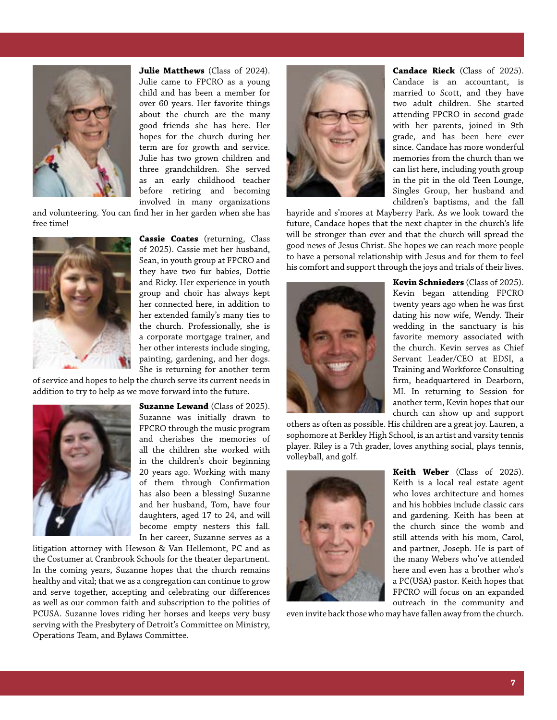

**Julie Matthews** (Class of 2024). Julie came to FPCRO as a young child and has been a member for over 60 years. Her favorite things about the church are the many good friends she has here. Her hopes for the church during her term are for growth and service. Julie has two grown children and three grandchildren. She served as an early childhood teacher before retiring and becoming involved in many organizations

and volunteering. You can find her in her garden when she has free time!



**Cassie Coates** (returning, Class of 2025). Cassie met her husband, Sean, in youth group at FPCRO and they have two fur babies, Dottie and Ricky. Her experience in youth group and choir has always kept her connected here, in addition to her extended family's many ties to the church. Professionally, she is a corporate mortgage trainer, and her other interests include singing, painting, gardening, and her dogs. She is returning for another term

of service and hopes to help the church serve its current needs in addition to try to help as we move forward into the future.



**Suzanne Lewand** (Class of 2025). Suzanne was initially drawn to FPCRO through the music program and cherishes the memories of all the children she worked with in the children's choir beginning 20 years ago. Working with many of them through Confirmation has also been a blessing! Suzanne and her husband, Tom, have four daughters, aged 17 to 24, and will become empty nesters this fall. In her career, Suzanne serves as a

litigation attorney with Hewson & Van Hellemont, PC and as the Costumer at Cranbrook Schools for the theater department. In the coming years, Suzanne hopes that the church remains healthy and vital; that we as a congregation can continue to grow and serve together, accepting and celebrating our differences as well as our common faith and subscription to the polities of PCUSA. Suzanne loves riding her horses and keeps very busy serving with the Presbytery of Detroit's Committee on Ministry, Operations Team, and Bylaws Committee.



**Candace Rieck** (Class of 2025). Candace is an accountant, is married to Scott, and they have two adult children. She started attending FPCRO in second grade with her parents, joined in 9th grade, and has been here ever since. Candace has more wonderful memories from the church than we can list here, including youth group in the pit in the old Teen Lounge, Singles Group, her husband and children's baptisms, and the fall

hayride and s'mores at Mayberry Park. As we look toward the future, Candace hopes that the next chapter in the church's life will be stronger than ever and that the church will spread the good news of Jesus Christ. She hopes we can reach more people to have a personal relationship with Jesus and for them to feel his comfort and support through the joys and trials of their lives.



**Kevin Schnieders** (Class of 2025). Kevin began attending FPCRO twenty years ago when he was first dating his now wife, Wendy. Their wedding in the sanctuary is his favorite memory associated with the church. Kevin serves as Chief Servant Leader/CEO at EDSI, a Training and Workforce Consulting firm, headquartered in Dearborn, MI. In returning to Session for another term, Kevin hopes that our church can show up and support

others as often as possible. His children are a great joy. Lauren, a sophomore at Berkley High School, is an artist and varsity tennis player. Riley is a 7th grader, loves anything social, plays tennis, volleyball, and golf.



**Keith Weber** (Class of 2025). Keith is a local real estate agent who loves architecture and homes and his hobbies include classic cars and gardening. Keith has been at the church since the womb and still attends with his mom, Carol, and partner, Joseph. He is part of the many Webers who've attended here and even has a brother who's a PC(USA) pastor. Keith hopes that FPCRO will focus on an expanded outreach in the community and

even invite back those who may have fallen away from the church.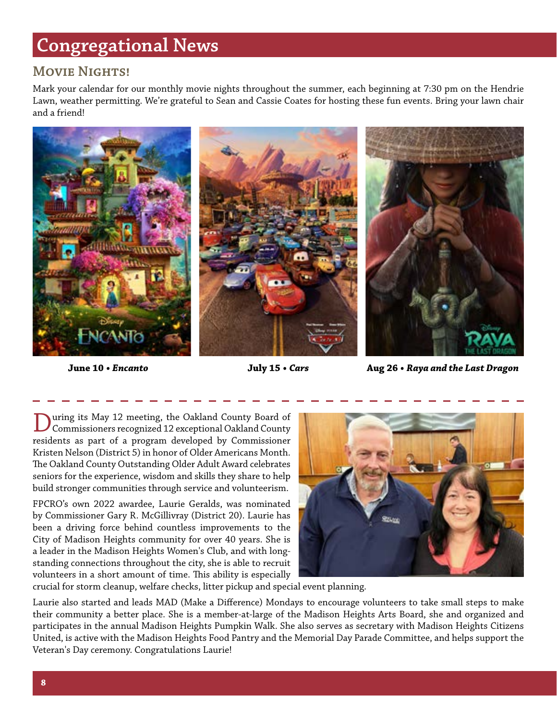# **Congregational News**

#### **Movie Nights!**

Mark your calendar for our monthly movie nights throughout the summer, each beginning at 7:30 pm on the Hendrie Lawn, weather permitting. We're grateful to Sean and Cassie Coates for hosting these fun events. Bring your lawn chair and a friend!



**June 10 •** *Encanto* **July 15 •** *Cars* **Aug 26 •** *Raya and the Last Dragon*

During its May 12 meeting, the Oakland County Board of Commissioners recognized 12 exceptional Oakland County residents as part of a program developed by Commissioner Kristen Nelson (District 5) in honor of Older Americans Month. The Oakland County Outstanding Older Adult Award celebrates seniors for the experience, wisdom and skills they share to help build stronger communities through service and volunteerism.

FPCRO's own 2022 awardee, Laurie Geralds, was nominated by Commissioner Gary R. McGillivray (District 20). Laurie has been a driving force behind countless improvements to the City of Madison Heights community for over 40 years. She is a leader in the Madison Heights Women's Club, and with longstanding connections throughout the city, she is able to recruit volunteers in a short amount of time. This ability is especially



crucial for storm cleanup, welfare checks, litter pickup and special event planning.

Laurie also started and leads MAD (Make a Difference) Mondays to encourage volunteers to take small steps to make their community a better place. She is a member-at-large of the Madison Heights Arts Board, she and organized and participates in the annual Madison Heights Pumpkin Walk. She also serves as secretary with Madison Heights Citizens United, is active with the Madison Heights Food Pantry and the Memorial Day Parade Committee, and helps support the Veteran's Day ceremony. Congratulations Laurie!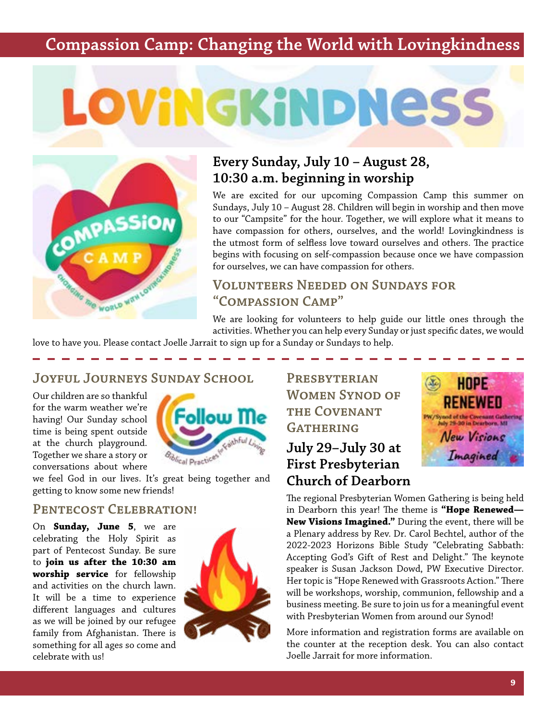### **Compassion Camp: Changing the World with Lovingkindness**

# LOVINGKINDNESS



#### **Every Sunday, July 10 – August 28, 10:30 a.m. beginning in worship**

We are excited for our upcoming Compassion Camp this summer on Sundays, July 10 – August 28. Children will begin in worship and then move to our "Campsite" for the hour. Together, we will explore what it means to have compassion for others, ourselves, and the world! Lovingkindness is the utmost form of selfless love toward ourselves and others. The practice begins with focusing on self-compassion because once we have compassion for ourselves, we can have compassion for others.

#### **Volunteers Needed on Sundays for "Compassion Camp"**

We are looking for volunteers to help guide our little ones through the activities. Whether you can help every Sunday or just specific dates, we would

love to have you. Please contact Joelle Jarrait to sign up for a Sunday or Sundays to help.

#### **Joyful Journeys Sunday School**

Our children are so thankful for the warm weather we're having! Our Sunday school time is being spent outside at the church playground. Together we share a story or conversations about where



we feel God in our lives. It's great being together and getting to know some new friends!

#### **Pentecost Celebration!**

On **Sunday, June 5**, we are celebrating the Holy Spirit as part of Pentecost Sunday. Be sure to **join us after the 10:30 am worship service** for fellowship and activities on the church lawn. It will be a time to experience different languages and cultures as we will be joined by our refugee family from Afghanistan. There is something for all ages so come and celebrate with us!



**Presbyterian Women Synod of the Covenant GATHERING** 

#### **July 29–July 30 at First Presbyterian Church of Dearborn**



The regional Presbyterian Women Gathering is being held in Dearborn this year! The theme is **"Hope Renewed— New Visions Imagined."** During the event, there will be a Plenary address by Rev. Dr. Carol Bechtel, author of the 2022-2023 Horizons Bible Study "Celebrating Sabbath: Accepting God's Gift of Rest and Delight." The keynote speaker is Susan Jackson Dowd, PW Executive Director. Her topic is "Hope Renewed with Grassroots Action." There will be workshops, worship, communion, fellowship and a business meeting. Be sure to join us for a meaningful event with Presbyterian Women from around our Synod!

More information and registration forms are available on the counter at the reception desk. You can also contact Joelle Jarrait for more information.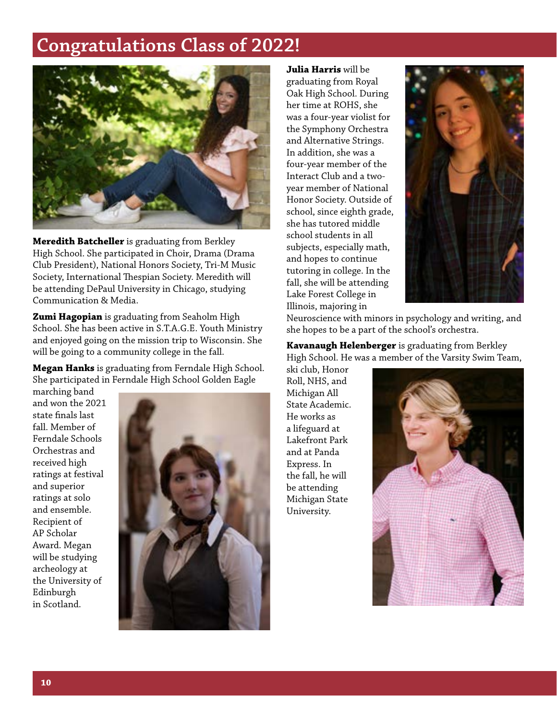# **Congratulations Class of 2022!**



**Meredith Batcheller** is graduating from Berkley High School. She participated in Choir, Drama (Drama Club President), National Honors Society, Tri-M Music Society, International Thespian Society. Meredith will be attending DePaul University in Chicago, studying Communication & Media.

**Zumi Hagopian** is graduating from Seaholm High School. She has been active in S.T.A.G.E. Youth Ministry and enjoyed going on the mission trip to Wisconsin. She will be going to a community college in the fall.

**Megan Hanks** is graduating from Ferndale High School. She participated in Ferndale High School Golden Eagle

marching band and won the 2021 state finals last fall. Member of Ferndale Schools Orchestras and received high ratings at festival and superior ratings at solo and ensemble. Recipient of AP Scholar Award. Megan will be studying archeology at the University of Edinburgh in Scotland.



**Julia Harris** will be graduating from Royal Oak High School. During her time at ROHS, she was a four-year violist for the Symphony Orchestra and Alternative Strings. In addition, she was a four-year member of the Interact Club and a twoyear member of National Honor Society. Outside of school, since eighth grade, she has tutored middle school students in all subjects, especially math, and hopes to continue tutoring in college. In the fall, she will be attending Lake Forest College in Illinois, majoring in



Neuroscience with minors in psychology and writing, and she hopes to be a part of the school's orchestra.

**Kavanaugh Helenberger** is graduating from Berkley High School. He was a member of the Varsity Swim Team,

ski club, Honor Roll, NHS, and Michigan All State Academic. He works as a lifeguard at Lakefront Park and at Panda Express. In the fall, he will be attending Michigan State University.

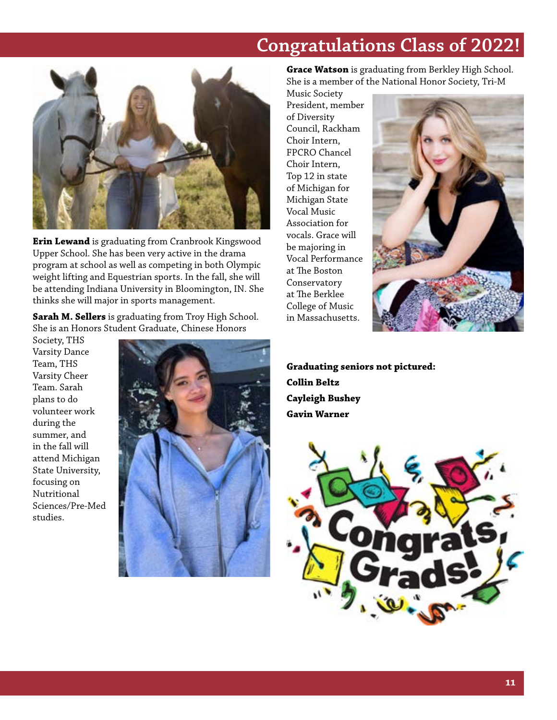# **Congratulations Class of 2022!**



**Erin Lewand** is graduating from Cranbrook Kingswood Upper School. She has been very active in the drama program at school as well as competing in both Olympic weight lifting and Equestrian sports. In the fall, she will be attending Indiana University in Bloomington, IN. She thinks she will major in sports management.

**Sarah M. Sellers** is graduating from Troy High School. She is an Honors Student Graduate, Chinese Honors

Society, THS Varsity Dance Team, THS Varsity Cheer Team. Sarah plans to do volunteer work during the summer, and in the fall will attend Michigan State University, focusing on Nutritional Sciences/Pre-Med studies.



**Grace Watson** is graduating from Berkley High School. She is a member of the National Honor Society, Tri-M

Music Society President, member of Diversity Council, Rackham Choir Intern, FPCRO Chancel Choir Intern, Top 12 in state of Michigan for Michigan State Vocal Music Association for vocals. Grace will be majoring in Vocal Performance at The Boston Conservatory at The Berklee College of Music in Massachusetts.



**Graduating seniors not pictured: Collin Beltz Cayleigh Bushey Gavin Warner**